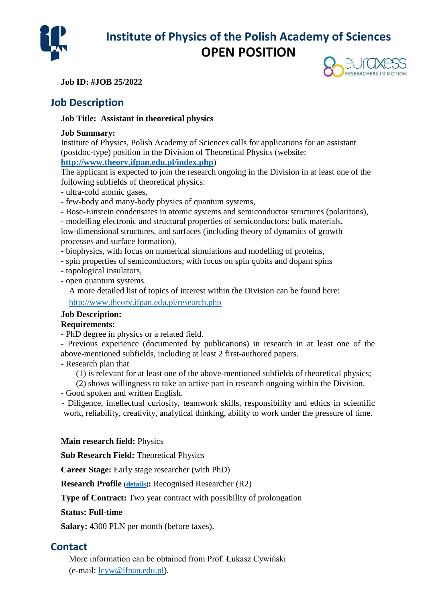

# **Institute of Physics of the Polish Academy of Sciences OPEN POSITION**

**Job ID: #JOB 25/2022**

## **Job Description**

#### **Job Title: Assistant in theoretical physics**

#### **Job Summary:**

Institute of Physics, Polish Academy of Sciences calls for applications for an assistant (postdoc-type) position in the Division of Theoretical Physics (website:

### **<http://www.theory.ifpan.edu.pl/index.php>**)

The applicant is expected to join the research ongoing in the Division in at least one of the following subfields of theoretical physics:

- ultra-cold atomic gases,

- few-body and many-body physics of quantum systems,

- Bose-Einstein condensates in atomic systems and semiconductor structures (polaritons),

- modelling electronic and structural properties of semiconductors: bulk materials,

low-dimensional structures, and surfaces (including theory of dynamics of growth processes and surface formation),

- biophysics, with focus on numerical simulations and modelling of proteins,
- spin properties of semiconductors, with focus on spin qubits and dopant spins
- topological insulators,
- open quantum systems.

A more detailed list of topics of interest within the Division can be found here:

<http://www.theory.ifpan.edu.pl/research.php>

## **Job Description:**

### **Requirements:**

- PhD degree in physics or a related field.

- Previous experience (documented by publications) in research in at least one of the above-mentioned subfields, including at least 2 first-authored papers.

- Research plan that

(1) is relevant for at least one of the above-mentioned subfields of theoretical physics;

(2) shows willingness to take an active part in research ongoing within the Division.

- Good spoken and written English.

 - Diligence, intellectual curiosity, teamwork skills, responsibility and ethics in scientific work, reliability, creativity, analytical thinking, ability to work under the pressure of time.

#### **Main research field:** Physics

**Sub Research Field:** Theoretical Physics

**Career Stage:** Early stage researcher (with PhD)

**Research Profile** (**[details](http://ec.europa.eu/euraxess/help/help_resProfile.html)**)**:** Recognised Researcher (R2)

**Type of Contract:** Two year contract with possibility of prolongation

#### **Status: Full-time**

**Salary:** 4300 PLN per month (before taxes).

## **Contact**

More information can be obtained from Prof. Łukasz Cywiński (e-mail: [lcyw@ifpan.edu.pl\)](mailto:lcyw@ifpan.edu.pl).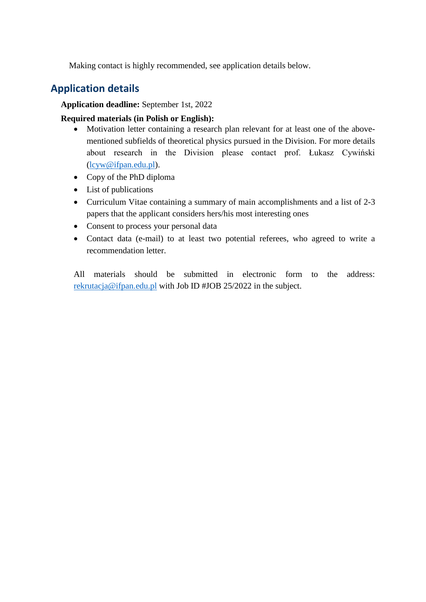Making contact is highly recommended, see application details below.

## **Application details**

**Application deadline:** September 1st, 2022

#### **Required materials (in Polish or English):**

- Motivation letter containing a research plan relevant for at least one of the abovementioned subfields of theoretical physics pursued in the Division. For more details about research in the Division please contact prof. Łukasz Cywiński [\(lcyw@ifpan.edu.pl\)](mailto:lcyw@ifpan.edu.pl).
- Copy of the PhD diploma
- List of publications
- Curriculum Vitae containing a summary of main accomplishments and a list of 2-3 papers that the applicant considers hers/his most interesting ones
- Consent to process your personal data
- Contact data (e-mail) to at least two potential referees, who agreed to write a recommendation letter.

All materials should be submitted in electronic form to the address: [rekrutacja@ifpan.edu.pl](mailto:rekrutacja@ifpan.edu.pl) with Job ID #JOB 25/2022 in the subject.